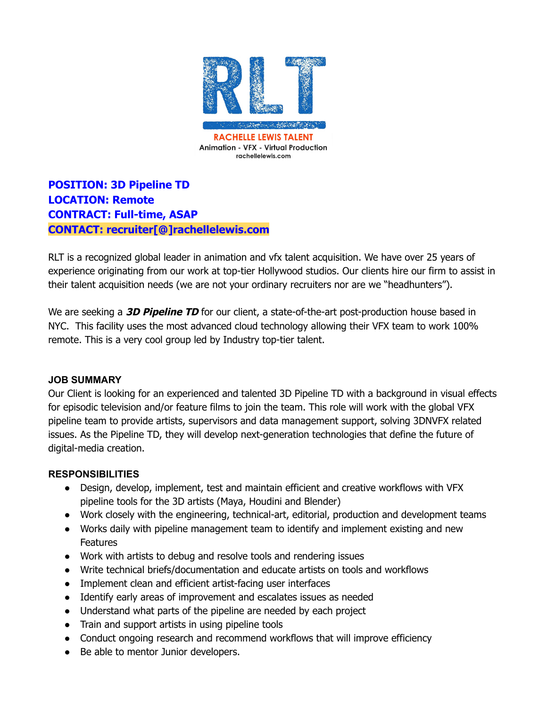

**POSITION: 3D Pipeline TD LOCATION: Remote CONTRACT: Full-time, ASAP CONTACT: recruiter[@]rachellelewis.com**

RLT is a recognized global leader in animation and vfx talent acquisition. We have over 25 years of experience originating from our work at top-tier Hollywood studios. Our clients hire our firm to assist in their talent acquisition needs (we are not your ordinary recruiters nor are we "headhunters").

We are seeking a **3D Pipeline TD** for our client, a state-of-the-art post-production house based in NYC. This facility uses the most advanced cloud technology allowing their VFX team to work 100% remote. This is a very cool group led by Industry top-tier talent.

## **JOB SUMMARY**

Our Client is looking for an experienced and talented 3D Pipeline TD with a background in visual effects for episodic television and/or feature films to join the team. This role will work with the global VFX pipeline team to provide artists, supervisors and data management support, solving 3DNVFX related issues. As the Pipeline TD, they will develop next-generation technologies that define the future of digital-media creation.

# **RESPONSIBILITIES**

- Design, develop, implement, test and maintain efficient and creative workflows with VFX pipeline tools for the 3D artists (Maya, Houdini and Blender)
- Work closely with the engineering, technical-art, editorial, production and development teams
- Works daily with pipeline management team to identify and implement existing and new **Features**
- Work with artists to debug and resolve tools and rendering issues
- Write technical briefs/documentation and educate artists on tools and workflows
- Implement clean and efficient artist-facing user interfaces
- Identify early areas of improvement and escalates issues as needed
- Understand what parts of the pipeline are needed by each project
- Train and support artists in using pipeline tools
- Conduct ongoing research and recommend workflows that will improve efficiency
- Be able to mentor Junior developers.